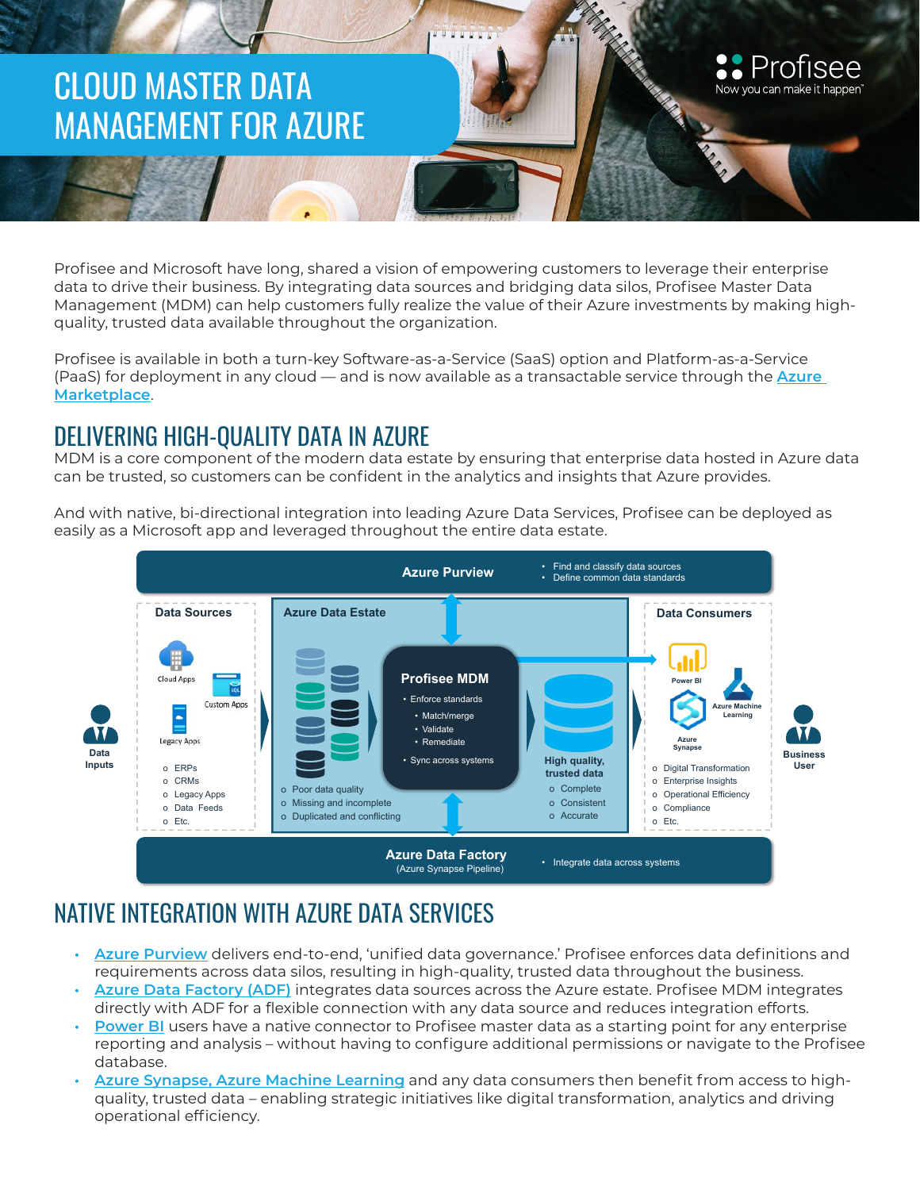# CLOUD MASTER DATA MANAGEMENT FOR AZURE

Profisee and Microsoft have long, shared a vision of empowering customers to leverage their enterprise data to drive their business. By integrating data sources and bridging data silos, Profisee Master Data Management (MDM) can help customers fully realize the value of their Azure investments by making highquality, trusted data available throughout the organization.

Now you can make it happen

Profisee is available in both a turn-key Software-as-a-Service (SaaS) option and Platform-as-a-Service (PaaS) for deployment in any cloud — and is now available as a transactable service through the **[Azure](https://azuremarketplace.microsoft.com/en-us/marketplace/apps?search=profisee&page=1)  [Marketplace](https://azuremarketplace.microsoft.com/en-us/marketplace/apps?search=profisee&page=1)**.

## DELIVERING HIGH-QUALITY DATA IN AZURE

MDM is a core component of the modern data estate by ensuring that enterprise data hosted in Azure data can be trusted, so customers can be confident in the analytics and insights that Azure provides.

د<br>And with native, bi-directional integration into leading Azure Data Services, Profisee can be deployed as easily as a Microsoft app and leveraged throughout the entire data estate.



# NATIVE INTEGRATION WITH AZURE DATA SERVICES

- **• [Azure Purview](https://profisee.com/solutions/microsoft-enterprise/azure-purview-mdm/)** delivers end-to-end, 'unified data governance.' Profisee enforces data definitions and requirements across data silos, resulting in high-quality, trusted data throughout the business.
- **• [Azure Data Factory \(ADF\)](https://profisee.com/solutions/microsoft-enterprise/azure/)** integrates data sources across the Azure estate. Profisee MDM integrates directly with ADF for a flexible connection with any data source and reduces integration efforts.
- **• [Power BI](https://profisee.com/blog/profisee-power-bi-better-together/)** users have a native connector to Profisee master data as a starting point for any enterprise reporting and analysis – without having to configure additional permissions or navigate to the Profisee database.
- **• [Azure Synapse, Azure Machine Learning](https://profisee.com/solutions/microsoft-enterprise/azure/https://profisee.com/solutions/microsoft-enterprise/azure/)** and any data consumers then benefit from access to highquality, trusted data – enabling strategic initiatives like digital transformation, analytics and driving operational efficiency.